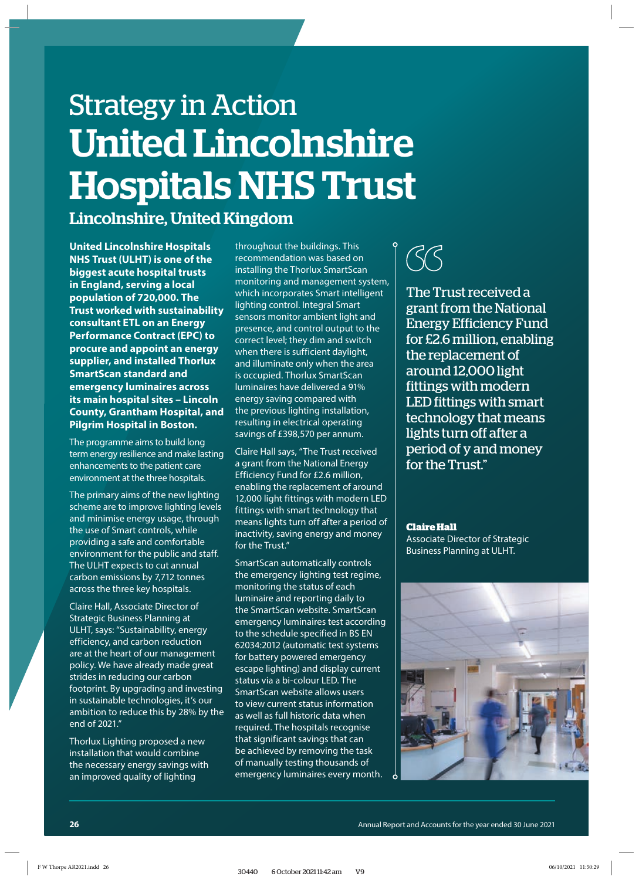## Strategy in Action United Lincolnshire Hospitals NHS Trust

## Lincolnshire, United Kingdom

**United Lincolnshire Hospitals NHS Trust (ULHT) is one of the biggest acute hospital trusts in England, serving a local population of 720,000. The Trust worked with sustainability consultant ETL on an Energy Performance Contract (EPC) to procure and appoint an energy supplier, and installed Thorlux SmartScan standard and emergency luminaires across its main hospital sites – Lincoln County, Grantham Hospital, and Pilgrim Hospital in Boston.** 

The programme aims to build long term energy resilience and make lasting enhancements to the patient care environment at the three hospitals.

The primary aims of the new lighting scheme are to improve lighting levels and minimise energy usage, through the use of Smart controls, while providing a safe and comfortable environment for the public and staff. The ULHT expects to cut annual carbon emissions by 7,712 tonnes across the three key hospitals.

Claire Hall, Associate Director of Strategic Business Planning at ULHT, says: "Sustainability, energy efficiency, and carbon reduction are at the heart of our management policy. We have already made great strides in reducing our carbon footprint. By upgrading and investing in sustainable technologies, it's our ambition to reduce this by 28% by the end of 2021."

Thorlux Lighting proposed a new installation that would combine the necessary energy savings with an improved quality of lighting

throughout the buildings. This recommendation was based on installing the Thorlux SmartScan monitoring and management system, which incorporates Smart intelligent lighting control. Integral Smart sensors monitor ambient light and presence, and control output to the correct level; they dim and switch when there is sufficient daylight, and illuminate only when the area is occupied. Thorlux SmartScan luminaires have delivered a 91% energy saving compared with the previous lighting installation, resulting in electrical operating savings of £398,570 per annum.

Claire Hall says, "The Trust received a grant from the National Energy Efficiency Fund for £2.6 million, enabling the replacement of around 12,000 light fittings with modern LED fittings with smart technology that means lights turn off after a period of inactivity, saving energy and money for the Trust."

SmartScan automatically controls the emergency lighting test regime, monitoring the status of each luminaire and reporting daily to the SmartScan website. SmartScan emergency luminaires test according to the schedule specified in BS EN 62034:2012 (automatic test systems for battery powered emergency escape lighting) and display current status via a bi-colour LED. The SmartScan website allows users to view current status information as well as full historic data when required. The hospitals recognise that significant savings that can be achieved by removing the task of manually testing thousands of emergency luminaires every month.

## **"**

The Trust received a grant from the National Energy Efficiency Fund for £2.6 million, enabling the replacement of around 12,000 light fittings with modern LED fittings with smart technology that means lights turn off after a period of y and money for the Trust"

**Claire Hall** Associate Director of Strategic Business Planning at ULHT.